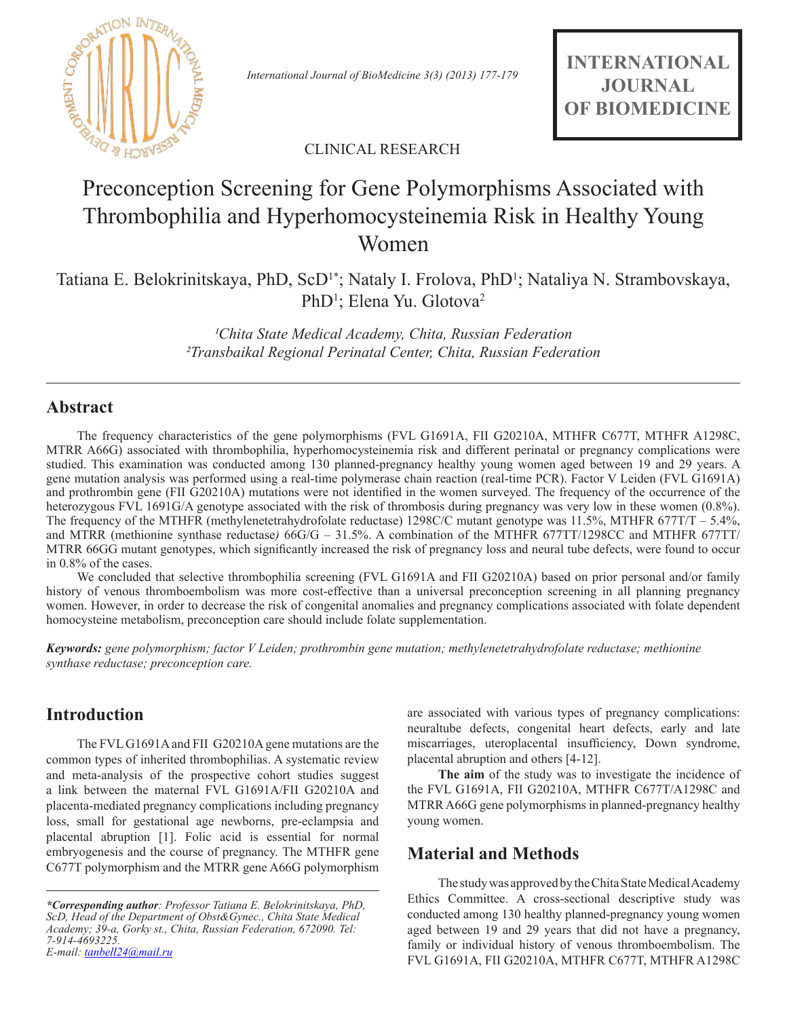

*International Journal of BioMedicine 3(3) (2013) 177-179*

**INTERNATIONAL JOURNAL OF BIOMEDICINE**

CLINICAL RESEARCH

# Preconception Screening for Gene Polymorphisms Associated with Thrombophilia and Hyperhomocysteinemia Risk in Healthy Young Women

Tatiana E. Belokrinitskaya, PhD, ScD<sup>1\*</sup>; Nataly I. Frolova, PhD<sup>1</sup>; Nataliya N. Strambovskaya, PhD<sup>1</sup>; Elena Yu. Glotova<sup>2</sup>

> <sup>1</sup>Chita State Medical Academy, Chita, Russian Federation *²Transbaikal Regional Perinatal Center, Chita, Russian Federation*

# **Abstract**

The frequency characteristics of the gene polymorphisms (FVL G1691A, FII G20210A, MTHFR C677T, MTHFR A1298C, MTRR A66G) associated with thrombophilia, hyperhomocysteinemia risk and different perinatal or pregnancy complications were studied. This examination was conducted among 130 planned-pregnancy healthy young women aged between 19 and 29 years. A gene mutation analysis was performed using a real-time polymerase chain reaction (real-time PCR). Factor V Leiden (FVL G1691A) and prothrombin gene (FII G20210A) mutations were not identified in the women surveyed. The frequency of the occurrence of the heterozygous FVL 1691G/A genotype associated with the risk of thrombosis during pregnancy was very low in these women (0.8%). The frequency of the MTHFR (methylenetetrahydrofolate reductase) 1298C/C mutant genotype was 11.5%, MTHFR 677T/T – 5.4%, and MTRR (methionine synthase reductase*)* 66G/G – 31.5%. A combination of the MTHFR 677TT/1298CC and MTHFR 677TТ/ MTRR 66GG mutant genotypes, which significantly increased the risk of pregnancy loss and neural tube defects, were found to occur in 0.8% of the cases.

We concluded that selective thrombophilia screening (FVL G1691A and FII G20210A) based on prior personal and/or family history of venous thromboembolism was more cost-effective than a universal preconception screening in all planning pregnancy women. However, in order to decrease the risk of congenital anomalies and pregnancy complications associated with folate dependent homocysteine metabolism, preconception care should include folate supplementation.

*Keywords: gene polymorphism; factor V Leiden; prothrombin gene mutation; methylenetetrahydrofolate reductase; methionine synthase reductase; preconception care.*

# **Introduction**

The FVL G1691A and FII G20210A gene mutations are the common types of inherited thrombophilias. A systematic review and meta-analysis of the prospective cohort studies suggest a link between the maternal FVL G1691A/FII G20210A and placenta-mediated pregnancy complications including pregnancy loss, small for gestational age newborns, pre-eclampsia and placental abruption [1]. Folic acid is essential for normal embryogenesis and the course of pregnancy. The MTHFR gene C677T polymorphism and the MTRR gene A66G polymorphism are associated with various types of pregnancy complications: neuraltube defects, congenital heart defects, early and late miscarriages, uteroplacental insufficiency, Down syndrome, placental abruption and others [4-12].

**The aim** of the study was to investigate the incidence of the FVL G1691A, FII G20210A, MTHFR C677T/A1298C and MTRR A66G gene polymorphisms in planned-pregnancy healthy young women.

# **Material and Methods**

The study was approved by the Сhita State Medical Academy Ethics Committee. A cross-sectional descriptive study was conducted among 130 healthy planned-pregnancy young women aged between 19 and 29 years that did not have a pregnancy, family or individual history of venous thromboembolism. The FVL G1691A, FII G20210A, MTHFR C677T, MTHFR A1298C

*<sup>\*</sup>Corresponding author: Professor Tatiana E. Belokrinitskaya, PhD, ScD, Head of the Department of Obst&Gynec., Сhita State Medical Academy; 39-a, Gorky st., Chita, Russian Federation, 672090. Tel: 7-914-4693225. E-mail: tanbell24@mail.ru*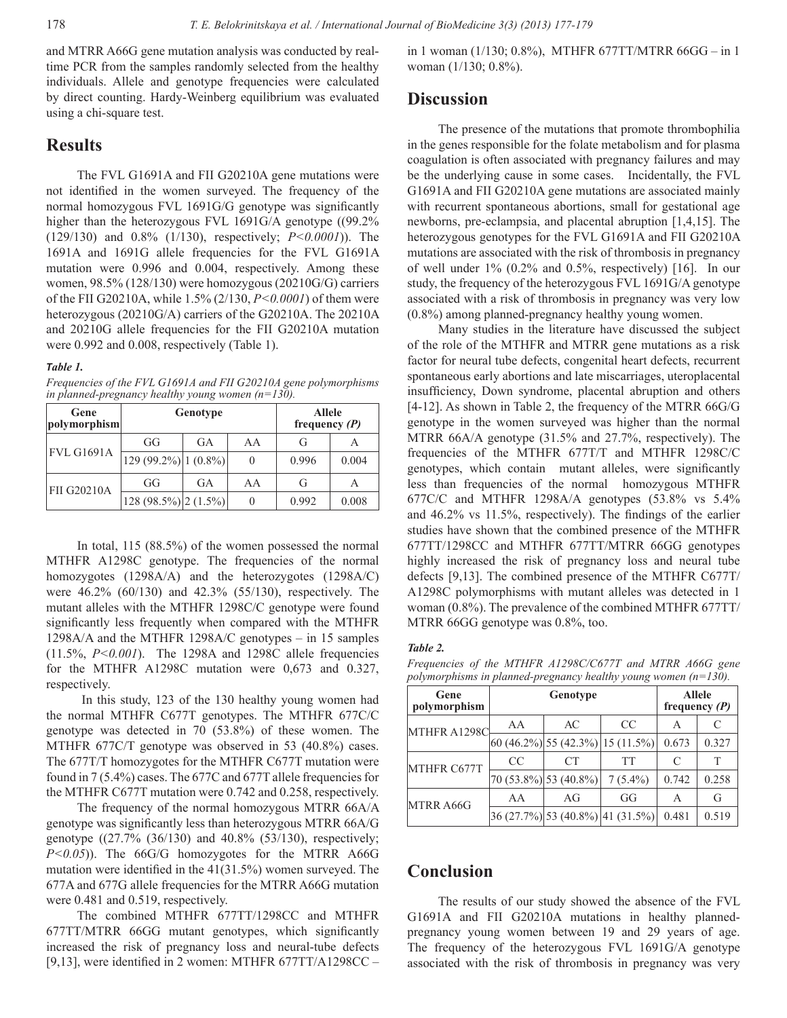and MTRR A66G gene mutation analysis was conducted by realtime PCR from the samples randomly selected from the healthy individuals. Allele and genotype frequencies were calculated by direct counting. Hardy-Weinberg equilibrium was evaluated using a chi-square test.

### **Results**

The FVL G1691A and FII G20210A gene mutations were not identified in the women surveyed. The frequency of the normal homozygous FVL 1691G/G genotype was significantly higher than the heterozygous FVL 1691G/A genotype ((99.2%) (129/130) and 0.8% (1/130), respectively; *P<0.0001*)). The 1691A and 1691G allele frequencies for the FVL G1691A mutation were 0.996 and 0.004, respectively. Among these women, 98.5% (128/130) were homozygous (20210G/G) carriers of the FII G20210A, while 1.5% (2/130, *P<0.0001*) of them were heterozygous (20210G/A) carriers of the G20210A. The 20210A and 20210G allele frequencies for the FII G20210A mutation were 0.992 and 0.008, respectively (Table 1).

#### *Table 1.*

*Frequencies of the FVL G1691A and FII G20210A gene polymorphisms in planned-pregnancy healthy young women (n=130).*

| Gene<br>polymorphism |                            | Genotype | <b>Allele</b><br>frequency $(P)$ |       |       |
|----------------------|----------------------------|----------|----------------------------------|-------|-------|
| FVL G1691A           | GG                         | GA       | AA                               | G     |       |
|                      | $ 129(99.2\%) 1(0.8\%) $   |          | 0                                | 0.996 | 0.004 |
| <b>FII G20210A</b>   | GG                         | GA       | AA                               | G     | А     |
|                      | $128 (98.5\%) [2 (1.5\%)]$ |          | 0                                | 0.992 | 0.008 |

In total, 115 (88.5%) of the women possessed the normal MTHFR A1298C genotype. The frequencies of the normal homozygotes (1298A/A) and the heterozygotes (1298A/C) were 46.2% (60/130) and 42.3% (55/130), respectively. The mutant alleles with the MTHFR 1298C/C genotype were found significantly less frequently when compared with the MTHFR 1298A/A and the MTHFR 1298A/C genotypes – in 15 samples (11.5%, *P<0.001*). The 1298A and 1298C allele frequencies for the MTHFR A1298C mutation were 0,673 and 0.327, respectively.

 In this study, 123 of the 130 healthy young women had the normal MTHFR C677T genotypes. The MTHFR 677С/С genotype was detected in 70 (53.8%) of these women. The MTHFR 677С/T genotype was observed in 53 (40.8%) cases. The 677T/T homozygotes for the MTHFR C677T mutation were found in 7 (5.4%) cases. The 677C and 677T allele frequencies for the MTHFR C677T mutation were 0.742 and 0.258, respectively.

The frequency of the normal homozygous MTRR 66A/A genotype was significantly less than heterozygous MTRR 66A/G genotype ((27.7% (36/130) and 40.8% (53/130), respectively; *P<0.05*)). The 66G/G homozygotes for the MTRR A66G mutation were identified in the 41(31.5%) women surveyed. The 677A and 677G allele frequencies for the MTRR A66G mutation were 0.481 and 0.519, respectively.

The combined MTHFR 677TT/1298CC and MTHFR 677TТ/MTRR 66GG mutant genotypes, which significantly increased the risk of pregnancy loss and neural-tube defects [9,13], were identified in 2 women: MTHFR 677TT/A1298CC –

in 1 woman (1/130; 0.8%), MTHFR 677TТ/MTRR 66GG – in 1 woman (1/130; 0.8%).

### **Discussion**

The presence of the mutations that promote thrombophilia in the genes responsible for the folate metabolism and for plasma coagulation is often associated with pregnancy failures and may be the underlying cause in some cases. Incidentally, the FVL G1691A and FII G20210A gene mutations are associated mainly with recurrent spontaneous abortions, small for gestational age newborns, pre-eclampsia, and placental abruption [1,4,15]. The heterozygous genotypes for the FVL G1691A and FII G20210A mutations are associated with the risk of thrombosis in pregnancy of well under  $1\%$  (0.2% and 0.5%, respectively) [16]. In our study, the frequency of the heterozygous FVL 1691G/A genotype associated with a risk of thrombosis in pregnancy was very low (0.8%) among planned-pregnancy healthy young women.

Many studies in the literature have discussed the subject of the role of the MTHFR and MTRR gene mutations as a risk factor for neural tube defects, congenital heart defects, recurrent spontaneous early abortions and late miscarriages, uteroplacental insufficiency, Down syndrome, placental abruption and others [4-12]. As shown in Table 2, the frequency of the MTRR 66G/G genotype in the women surveyed was higher than the normal MTRR 66A/A genotype (31.5% and 27.7%, respectively). The frequencies of the MTHFR 677T/T and MTHFR 1298C/C genotypes, which contain mutant alleles, were significantly less than frequencies of the normal homozygous MTHFR 677C/C and MTHFR 1298A/A genotypes (53.8% vs 5.4% and 46.2% vs 11.5%, respectively). The findings of the earlier studies have shown that the combined presence of the MTHFR 677TT/1298CC and MTHFR 677TТ/MTRR 66GG genotypes highly increased the risk of pregnancy loss and neural tube defects [9,13]. The combined presence of the MTHFR C677T/ A1298C polymorphisms with mutant alleles was detected in 1 woman (0.8%). The prevalence of the combined MTHFR 677TT/ MTRR 66GG genotype was 0.8%, too.

#### *Table 2.*

*Frequencies of the MTHFR A1298C/С677Т and MTRR A66G gene polymorphisms in planned-pregnancy healthy young women (n=130).*

| Gene<br>polymorphism |               | <b>Allele</b><br>frequency $(P)$ |                                         |       |       |
|----------------------|---------------|----------------------------------|-----------------------------------------|-------|-------|
| MTHFR A1298C         | AA            | AC                               | CC.                                     | A     | C     |
|                      |               |                                  | $ 60 (46.2\%) 55 (42.3\%) 15 (11.5\%) $ | 0.673 | 0.327 |
| MTHFR C677T          | <sub>CC</sub> | CT                               | <b>TT</b>                               |       | T     |
|                      |               | $ 70 (53.8\%) 53 (40.8\%) $      | $7(5.4\%)$                              | 0.742 | 0.258 |
| MTRR A66G            | AA            | AG                               | GG                                      | А     | G     |
|                      |               |                                  | $36(27.7\%)$ 53 (40.8%) 41 (31.5%)      | 0.481 | 0.519 |

# **Conclusion**

The results of our study showed the absence of the FVL G1691A and FII G20210A mutations in healthy plannedpregnancy young women between 19 and 29 years of age. The frequency of the heterozygous FVL 1691G/A genotype associated with the risk of thrombosis in pregnancy was very